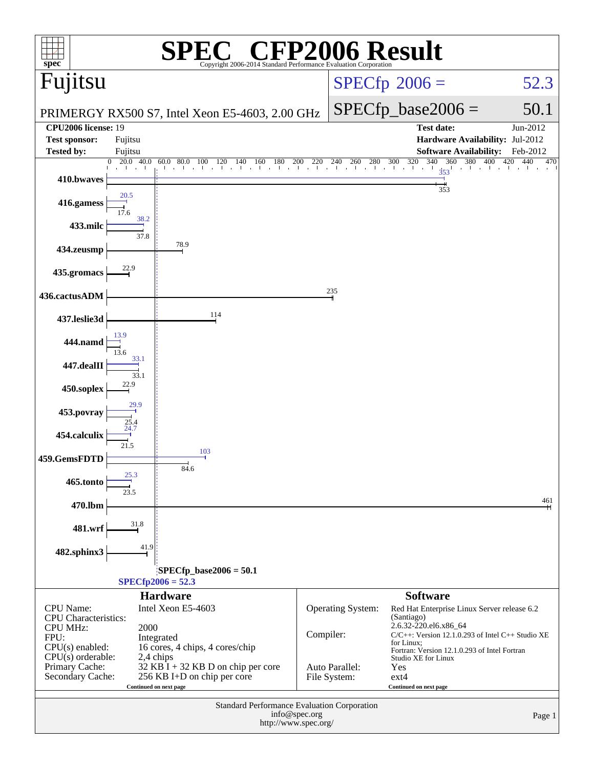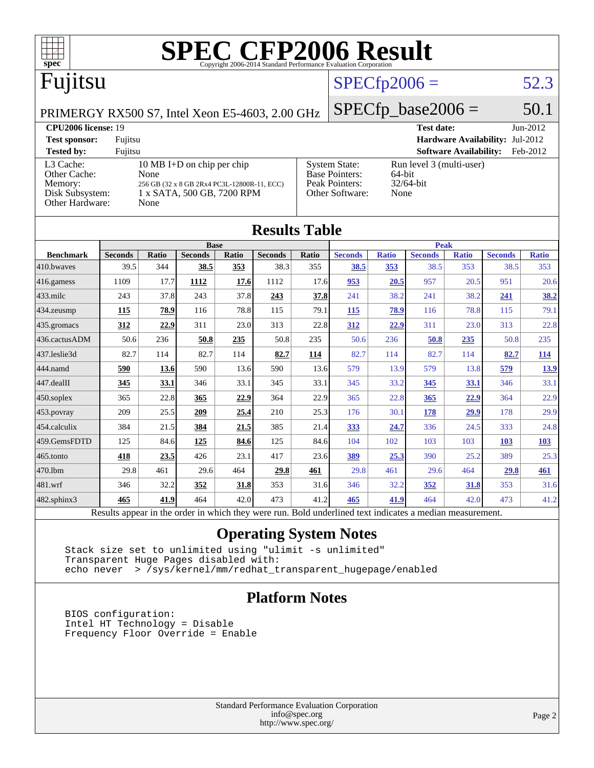

| <b>Benchmark</b> | <b>Seconds</b> | Ratio | <b>Seconds</b>                                                                                           | Ratio | <b>Seconds</b> | Ratio | <b>Seconds</b> | <b>Ratio</b> | <b>Seconds</b> | <b>Ratio</b> | <b>Seconds</b> | <b>Ratio</b> |
|------------------|----------------|-------|----------------------------------------------------------------------------------------------------------|-------|----------------|-------|----------------|--------------|----------------|--------------|----------------|--------------|
| 410.bwayes       | 39.5           | 344   | 38.5                                                                                                     | 353   | 38.3           | 355   | 38.5           | 353          | 38.5           | 353          | 38.5           | 353          |
| 416.gamess       | 1109           | 17.7  | 1112                                                                                                     | 17.6  | 1112           | 17.6  | 953            | 20.5         | 957            | 20.5         | 951            | 20.6         |
| 433.milc         | 243            | 37.8  | 243                                                                                                      | 37.8  | 243            | 37.8  | 241            | 38.2         | 241            | 38.2         | 241            | 38.2         |
| 434.zeusmp       | 115            | 78.9  | 116                                                                                                      | 78.8  | 115            | 79.1  | <b>115</b>     | 78.9         | 116            | 78.8         | 115            | 79.1         |
| 435.gromacs      | 312            | 22.9  | 311                                                                                                      | 23.0  | 313            | 22.8  | 312            | 22.9         | 311            | 23.0         | 313            | 22.8         |
| 436.cactusADM    | 50.6           | 236   | 50.8                                                                                                     | 235   | 50.8           | 235   | 50.6           | 236          | 50.8           | 235          | 50.8           | 235          |
| 437.leslie3d     | 82.7           | 114   | 82.7                                                                                                     | 114   | 82.7           | 114   | 82.7           | 114          | 82.7           | 114          | 82.7           | <b>114</b>   |
| 444.namd         | 590            | 13.6  | 590                                                                                                      | 13.6  | 590            | 13.6  | 579            | 13.9         | 579            | 13.8         | 579            | 13.9         |
| 447.dealII       | 345            | 33.1  | 346                                                                                                      | 33.1  | 345            | 33.1  | 345            | 33.2         | 345            | 33.1         | 346            | 33.1         |
| 450.soplex       | 365            | 22.8  | 365                                                                                                      | 22.9  | 364            | 22.9  | 365            | 22.8         | 365            | <u>22.9</u>  | 364            | 22.9         |
| 453.povray       | 209            | 25.5  | 209                                                                                                      | 25.4  | 210            | 25.3  | 176            | 30.1         | 178            | 29.9         | 178            | 29.9         |
| 454.calculix     | 384            | 21.5  | 384                                                                                                      | 21.5  | 385            | 21.4  | 333            | 24.7         | 336            | 24.5         | 333            | 24.8         |
| 459.GemsFDTD     | 125            | 84.6  | 125                                                                                                      | 84.6  | 125            | 84.6  | 104            | 102          | 103            | 103          | <b>103</b>     | 103          |
| 465.tonto        | 418            | 23.5  | 426                                                                                                      | 23.1  | 417            | 23.6  | 389            | 25.3         | 390            | 25.2         | 389            | 25.3         |
| 470.1bm          | 29.8           | 461   | 29.6                                                                                                     | 464   | 29.8           | 461   | 29.8           | 461          | 29.6           | 464          | 29.8           | 461          |
| 481.wrf          | 346            | 32.2  | 352                                                                                                      | 31.8  | 353            | 31.6  | 346            | 32.2         | 352            | 31.8         | 353            | 31.6         |
| 482.sphinx3      | 465            | 41.9  | 464                                                                                                      | 42.0  | 473            | 41.2  | 465            | 41.9         | 464            | 42.0         | 473            | 41.2         |
|                  |                |       | Results appear in the order in which they were run. Bold underlined text indicates a median measurement. |       |                |       |                |              |                |              |                |              |

### **[Operating System Notes](http://www.spec.org/auto/cpu2006/Docs/result-fields.html#OperatingSystemNotes)**

 Stack size set to unlimited using "ulimit -s unlimited" Transparent Huge Pages disabled with: echo never > /sys/kernel/mm/redhat\_transparent\_hugepage/enabled

### **[Platform Notes](http://www.spec.org/auto/cpu2006/Docs/result-fields.html#PlatformNotes)**

 BIOS configuration: Intel HT Technology = Disable Frequency Floor Override = Enable

> Standard Performance Evaluation Corporation [info@spec.org](mailto:info@spec.org) <http://www.spec.org/>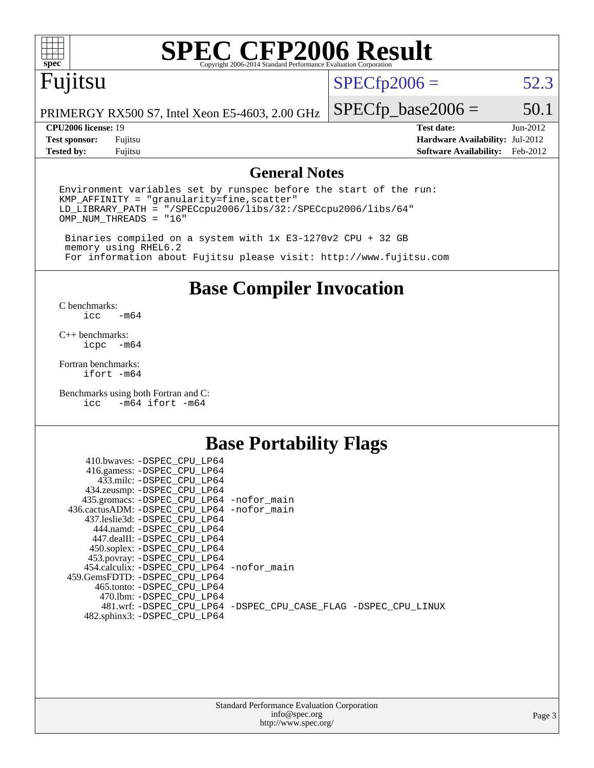

# **[SPEC CFP2006 Result](http://www.spec.org/auto/cpu2006/Docs/result-fields.html#SPECCFP2006Result)**

# Fujitsu

 $SPECfp2006 = 52.3$  $SPECfp2006 = 52.3$ 

PRIMERGY RX500 S7, Intel Xeon E5-4603, 2.00 GHz

**[Test sponsor:](http://www.spec.org/auto/cpu2006/Docs/result-fields.html#Testsponsor)** Fujitsu **[Hardware Availability:](http://www.spec.org/auto/cpu2006/Docs/result-fields.html#HardwareAvailability)** Jul-2012 **[Tested by:](http://www.spec.org/auto/cpu2006/Docs/result-fields.html#Testedby)** Fujitsu **[Software Availability:](http://www.spec.org/auto/cpu2006/Docs/result-fields.html#SoftwareAvailability)** Feb-2012

 $SPECfp\_base2006 = 50.1$ **[CPU2006 license:](http://www.spec.org/auto/cpu2006/Docs/result-fields.html#CPU2006license)** 19 **[Test date:](http://www.spec.org/auto/cpu2006/Docs/result-fields.html#Testdate)** Jun-2012

### **[General Notes](http://www.spec.org/auto/cpu2006/Docs/result-fields.html#GeneralNotes)**

Environment variables set by runspec before the start of the run: KMP\_AFFINITY = "granularity=fine,scatter" LD\_LIBRARY\_PATH = "/SPECcpu2006/libs/32:/SPECcpu2006/libs/64" OMP\_NUM\_THREADS = "16"

 Binaries compiled on a system with 1x E3-1270v2 CPU + 32 GB memory using RHEL6.2 For information about Fujitsu please visit: <http://www.fujitsu.com>

**[Base Compiler Invocation](http://www.spec.org/auto/cpu2006/Docs/result-fields.html#BaseCompilerInvocation)**

 $C$  benchmarks:<br>icc  $-m64$ 

[C++ benchmarks:](http://www.spec.org/auto/cpu2006/Docs/result-fields.html#CXXbenchmarks) [icpc -m64](http://www.spec.org/cpu2006/results/res2012q3/cpu2006-20120730-23892.flags.html#user_CXXbase_intel_icpc_64bit_bedb90c1146cab66620883ef4f41a67e)

[Fortran benchmarks](http://www.spec.org/auto/cpu2006/Docs/result-fields.html#Fortranbenchmarks): [ifort -m64](http://www.spec.org/cpu2006/results/res2012q3/cpu2006-20120730-23892.flags.html#user_FCbase_intel_ifort_64bit_ee9d0fb25645d0210d97eb0527dcc06e)

[Benchmarks using both Fortran and C](http://www.spec.org/auto/cpu2006/Docs/result-fields.html#BenchmarksusingbothFortranandC): [icc -m64](http://www.spec.org/cpu2006/results/res2012q3/cpu2006-20120730-23892.flags.html#user_CC_FCbase_intel_icc_64bit_0b7121f5ab7cfabee23d88897260401c) [ifort -m64](http://www.spec.org/cpu2006/results/res2012q3/cpu2006-20120730-23892.flags.html#user_CC_FCbase_intel_ifort_64bit_ee9d0fb25645d0210d97eb0527dcc06e)

### **[Base Portability Flags](http://www.spec.org/auto/cpu2006/Docs/result-fields.html#BasePortabilityFlags)**

| 410.bwaves: -DSPEC CPU LP64                 |                                                                |
|---------------------------------------------|----------------------------------------------------------------|
| 416.gamess: -DSPEC_CPU_LP64                 |                                                                |
| 433.milc: -DSPEC CPU LP64                   |                                                                |
| 434.zeusmp: -DSPEC_CPU_LP64                 |                                                                |
| 435.gromacs: -DSPEC_CPU_LP64 -nofor_main    |                                                                |
| 436.cactusADM: -DSPEC CPU LP64 -nofor main  |                                                                |
| 437.leslie3d: -DSPEC CPU LP64               |                                                                |
| 444.namd: -DSPEC CPU LP64                   |                                                                |
| 447.dealII: -DSPEC CPU LP64                 |                                                                |
| 450.soplex: -DSPEC_CPU_LP64                 |                                                                |
| 453.povray: -DSPEC_CPU_LP64                 |                                                                |
| 454.calculix: - DSPEC CPU LP64 - nofor main |                                                                |
| 459. GemsFDTD: - DSPEC CPU LP64             |                                                                |
| 465.tonto: - DSPEC CPU LP64                 |                                                                |
| 470.1bm: - DSPEC CPU LP64                   |                                                                |
|                                             | 481.wrf: -DSPEC_CPU_LP64 -DSPEC_CPU_CASE_FLAG -DSPEC_CPU_LINUX |
| 482.sphinx3: -DSPEC_CPU_LP64                |                                                                |
|                                             |                                                                |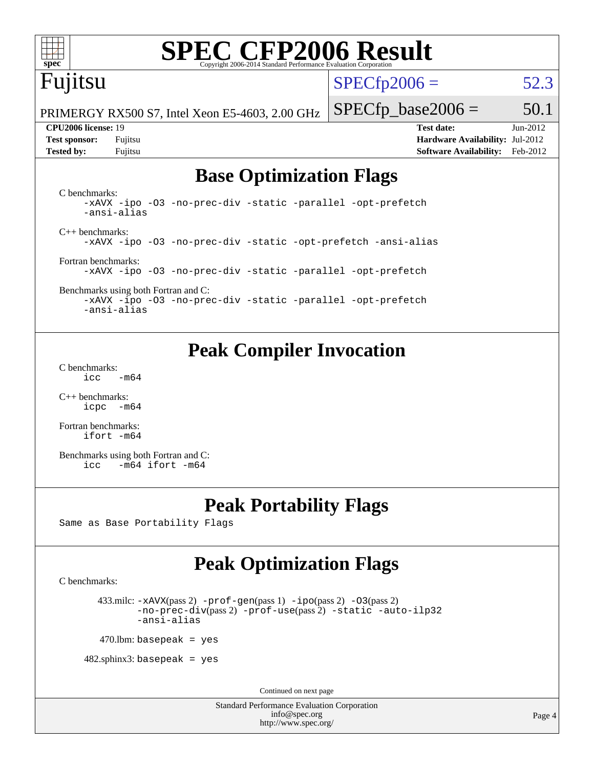

# **[SPEC CFP2006 Result](http://www.spec.org/auto/cpu2006/Docs/result-fields.html#SPECCFP2006Result)**

# Fujitsu

 $SPECfp2006 = 52.3$  $SPECfp2006 = 52.3$ 

PRIMERGY RX500 S7, Intel Xeon E5-4603, 2.00 GHz

**[Tested by:](http://www.spec.org/auto/cpu2006/Docs/result-fields.html#Testedby)** Fujitsu **[Software Availability:](http://www.spec.org/auto/cpu2006/Docs/result-fields.html#SoftwareAvailability)** Feb-2012

 $SPECfp\_base2006 = 50.1$ **[CPU2006 license:](http://www.spec.org/auto/cpu2006/Docs/result-fields.html#CPU2006license)** 19 **[Test date:](http://www.spec.org/auto/cpu2006/Docs/result-fields.html#Testdate)** Jun-2012 **[Test sponsor:](http://www.spec.org/auto/cpu2006/Docs/result-fields.html#Testsponsor)** Fujitsu **[Hardware Availability:](http://www.spec.org/auto/cpu2006/Docs/result-fields.html#HardwareAvailability)** Jul-2012

# **[Base Optimization Flags](http://www.spec.org/auto/cpu2006/Docs/result-fields.html#BaseOptimizationFlags)**

[C benchmarks](http://www.spec.org/auto/cpu2006/Docs/result-fields.html#Cbenchmarks): [-xAVX](http://www.spec.org/cpu2006/results/res2012q3/cpu2006-20120730-23892.flags.html#user_CCbase_f-xAVX) [-ipo](http://www.spec.org/cpu2006/results/res2012q3/cpu2006-20120730-23892.flags.html#user_CCbase_f-ipo) [-O3](http://www.spec.org/cpu2006/results/res2012q3/cpu2006-20120730-23892.flags.html#user_CCbase_f-O3) [-no-prec-div](http://www.spec.org/cpu2006/results/res2012q3/cpu2006-20120730-23892.flags.html#user_CCbase_f-no-prec-div) [-static](http://www.spec.org/cpu2006/results/res2012q3/cpu2006-20120730-23892.flags.html#user_CCbase_f-static) [-parallel](http://www.spec.org/cpu2006/results/res2012q3/cpu2006-20120730-23892.flags.html#user_CCbase_f-parallel) [-opt-prefetch](http://www.spec.org/cpu2006/results/res2012q3/cpu2006-20120730-23892.flags.html#user_CCbase_f-opt-prefetch) [-ansi-alias](http://www.spec.org/cpu2006/results/res2012q3/cpu2006-20120730-23892.flags.html#user_CCbase_f-ansi-alias) [C++ benchmarks:](http://www.spec.org/auto/cpu2006/Docs/result-fields.html#CXXbenchmarks) [-xAVX](http://www.spec.org/cpu2006/results/res2012q3/cpu2006-20120730-23892.flags.html#user_CXXbase_f-xAVX) [-ipo](http://www.spec.org/cpu2006/results/res2012q3/cpu2006-20120730-23892.flags.html#user_CXXbase_f-ipo) [-O3](http://www.spec.org/cpu2006/results/res2012q3/cpu2006-20120730-23892.flags.html#user_CXXbase_f-O3) [-no-prec-div](http://www.spec.org/cpu2006/results/res2012q3/cpu2006-20120730-23892.flags.html#user_CXXbase_f-no-prec-div) [-static](http://www.spec.org/cpu2006/results/res2012q3/cpu2006-20120730-23892.flags.html#user_CXXbase_f-static) [-opt-prefetch](http://www.spec.org/cpu2006/results/res2012q3/cpu2006-20120730-23892.flags.html#user_CXXbase_f-opt-prefetch) [-ansi-alias](http://www.spec.org/cpu2006/results/res2012q3/cpu2006-20120730-23892.flags.html#user_CXXbase_f-ansi-alias) [Fortran benchmarks](http://www.spec.org/auto/cpu2006/Docs/result-fields.html#Fortranbenchmarks): [-xAVX](http://www.spec.org/cpu2006/results/res2012q3/cpu2006-20120730-23892.flags.html#user_FCbase_f-xAVX) [-ipo](http://www.spec.org/cpu2006/results/res2012q3/cpu2006-20120730-23892.flags.html#user_FCbase_f-ipo) [-O3](http://www.spec.org/cpu2006/results/res2012q3/cpu2006-20120730-23892.flags.html#user_FCbase_f-O3) [-no-prec-div](http://www.spec.org/cpu2006/results/res2012q3/cpu2006-20120730-23892.flags.html#user_FCbase_f-no-prec-div) [-static](http://www.spec.org/cpu2006/results/res2012q3/cpu2006-20120730-23892.flags.html#user_FCbase_f-static) [-parallel](http://www.spec.org/cpu2006/results/res2012q3/cpu2006-20120730-23892.flags.html#user_FCbase_f-parallel) [-opt-prefetch](http://www.spec.org/cpu2006/results/res2012q3/cpu2006-20120730-23892.flags.html#user_FCbase_f-opt-prefetch)

[Benchmarks using both Fortran and C](http://www.spec.org/auto/cpu2006/Docs/result-fields.html#BenchmarksusingbothFortranandC): [-xAVX](http://www.spec.org/cpu2006/results/res2012q3/cpu2006-20120730-23892.flags.html#user_CC_FCbase_f-xAVX) [-ipo](http://www.spec.org/cpu2006/results/res2012q3/cpu2006-20120730-23892.flags.html#user_CC_FCbase_f-ipo) [-O3](http://www.spec.org/cpu2006/results/res2012q3/cpu2006-20120730-23892.flags.html#user_CC_FCbase_f-O3) [-no-prec-div](http://www.spec.org/cpu2006/results/res2012q3/cpu2006-20120730-23892.flags.html#user_CC_FCbase_f-no-prec-div) [-static](http://www.spec.org/cpu2006/results/res2012q3/cpu2006-20120730-23892.flags.html#user_CC_FCbase_f-static) [-parallel](http://www.spec.org/cpu2006/results/res2012q3/cpu2006-20120730-23892.flags.html#user_CC_FCbase_f-parallel) [-opt-prefetch](http://www.spec.org/cpu2006/results/res2012q3/cpu2006-20120730-23892.flags.html#user_CC_FCbase_f-opt-prefetch) [-ansi-alias](http://www.spec.org/cpu2006/results/res2012q3/cpu2006-20120730-23892.flags.html#user_CC_FCbase_f-ansi-alias)

## **[Peak Compiler Invocation](http://www.spec.org/auto/cpu2006/Docs/result-fields.html#PeakCompilerInvocation)**

[C benchmarks](http://www.spec.org/auto/cpu2006/Docs/result-fields.html#Cbenchmarks):  $\text{icc}$  -m64

[C++ benchmarks:](http://www.spec.org/auto/cpu2006/Docs/result-fields.html#CXXbenchmarks) [icpc -m64](http://www.spec.org/cpu2006/results/res2012q3/cpu2006-20120730-23892.flags.html#user_CXXpeak_intel_icpc_64bit_bedb90c1146cab66620883ef4f41a67e)

[Fortran benchmarks](http://www.spec.org/auto/cpu2006/Docs/result-fields.html#Fortranbenchmarks): [ifort -m64](http://www.spec.org/cpu2006/results/res2012q3/cpu2006-20120730-23892.flags.html#user_FCpeak_intel_ifort_64bit_ee9d0fb25645d0210d97eb0527dcc06e)

[Benchmarks using both Fortran and C](http://www.spec.org/auto/cpu2006/Docs/result-fields.html#BenchmarksusingbothFortranandC): [icc -m64](http://www.spec.org/cpu2006/results/res2012q3/cpu2006-20120730-23892.flags.html#user_CC_FCpeak_intel_icc_64bit_0b7121f5ab7cfabee23d88897260401c) [ifort -m64](http://www.spec.org/cpu2006/results/res2012q3/cpu2006-20120730-23892.flags.html#user_CC_FCpeak_intel_ifort_64bit_ee9d0fb25645d0210d97eb0527dcc06e)

## **[Peak Portability Flags](http://www.spec.org/auto/cpu2006/Docs/result-fields.html#PeakPortabilityFlags)**

Same as Base Portability Flags

# **[Peak Optimization Flags](http://www.spec.org/auto/cpu2006/Docs/result-fields.html#PeakOptimizationFlags)**

[C benchmarks](http://www.spec.org/auto/cpu2006/Docs/result-fields.html#Cbenchmarks):

433.milc:  $-x$ AVX(pass 2)  $-p$ rof-gen(pass 1)  $-p$ po(pass 2)  $-03$ (pass 2) [-no-prec-div](http://www.spec.org/cpu2006/results/res2012q3/cpu2006-20120730-23892.flags.html#user_peakPASS2_CFLAGSPASS2_LDFLAGS433_milc_f-no-prec-div)(pass 2) [-prof-use](http://www.spec.org/cpu2006/results/res2012q3/cpu2006-20120730-23892.flags.html#user_peakPASS2_CFLAGSPASS2_LDFLAGS433_milc_prof_use_bccf7792157ff70d64e32fe3e1250b55)(pass 2) [-static](http://www.spec.org/cpu2006/results/res2012q3/cpu2006-20120730-23892.flags.html#user_peakOPTIMIZE433_milc_f-static) [-auto-ilp32](http://www.spec.org/cpu2006/results/res2012q3/cpu2006-20120730-23892.flags.html#user_peakCOPTIMIZE433_milc_f-auto-ilp32) [-ansi-alias](http://www.spec.org/cpu2006/results/res2012q3/cpu2006-20120730-23892.flags.html#user_peakCOPTIMIZE433_milc_f-ansi-alias)

 $470$ .lbm: basepeak = yes

 $482$ .sphinx3: basepeak = yes

Continued on next page

Standard Performance Evaluation Corporation [info@spec.org](mailto:info@spec.org) <http://www.spec.org/>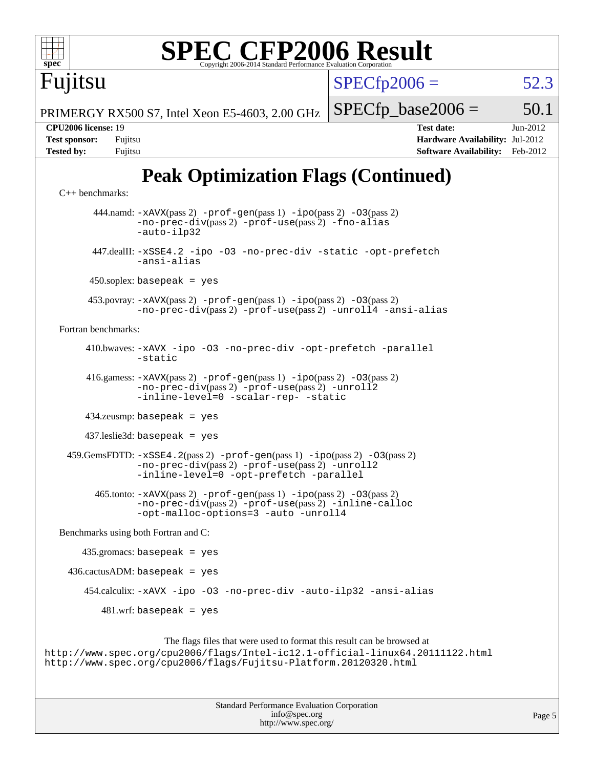

```
 447.dealII: -xSSE4.2 -ipo -O3 -no-prec-div -static -opt-prefetch
               -no-prec-div(pass 2) -prof-use(pass 2) -unroll4 -ansi-alias
Fortran benchmarks: 
      410.bwaves: -xAVX -ipo -O3 -no-prec-div -opt-prefetch -parallel
               -static
      416.gamess: -xAVX(pass 2) -prof-gen(pass 1) -ipo(pass 2) -O3(pass 2)
               -no-prec-div(pass 2) -prof-use(pass 2) -unroll2
               -inline-level=0-scalar-rep--static
      434.zeusmp: basepeak = yes
     437.leslie3d: basepeak = yes
 -xSSE4.2-prof-gen-ipo-O3(pass 2)-no-prec-div(pass 2) -prof-use(pass 2) -unroll2
               -inline-level=0 -opt-prefetch -parallel
        465.tonto: -xAVX(pass 2) -prof-gen(pass 1) -ipo(pass 2) -O3(pass 2)
               -no-prec-div(pass 2) -prof-use(pass 2) -inline-calloc
               -opt-malloc-options=3 -auto -unroll4
Benchmarks using both Fortran and C: 
     435.gromacs: basepeak = yes
 436.cactusADM:basepeak = yes 454.calculix: -xAVX -ipo -O3 -no-prec-div -auto-ilp32 -ansi-alias
        481.wrf: basepeak = yes
                    The flags files that were used to format this result can be browsed at
```
<http://www.spec.org/cpu2006/flags/Intel-ic12.1-official-linux64.20111122.html> <http://www.spec.org/cpu2006/flags/Fujitsu-Platform.20120320.html>

> Standard Performance Evaluation Corporation [info@spec.org](mailto:info@spec.org) <http://www.spec.org/>